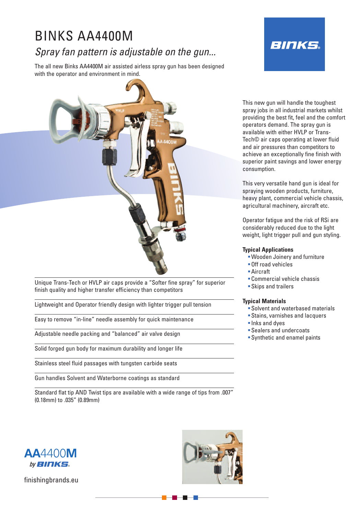# BINKS AA4400M *Spray fan pattern is adjustable on the gun...*

The all new Binks AA4400M air assisted airless spray gun has been designed with the operator and environment in mind.



Unique Trans-Tech or HVLP air caps provide a "Softer fine spray" for superior finish quality and higher transfer efficiency than competitors

Lightweight and Operator friendly design with lighter trigger pull tension

Easy to remove "in-line" needle assembly for quick maintenance

Adjustable needle packing and "balanced" air valve design

Solid forged gun body for maximum durability and longer life

Stainless steel fluid passages with tungsten carbide seats

Gun handles Solvent and Waterborne coatings as standard

Standard flat tip AND Twist tips are available with a wide range of tips from .007" (0.18mm) to .035" (0.89mm)



This new gun will handle the toughest spray jobs in all industrial markets whilst providing the best fit, feel and the comfort operators demand. The spray gun is available with either HVLP or Trans-Tech© air caps operating at lower fluid and air pressures than competitors to achieve an exceptionally fine finish with superior paint savings and lower energy consumption.

This very versatile hand gun is ideal for spraying wooden products, furniture, heavy plant, commercial vehicle chassis, agricultural machinery, aircraft etc.

Operator fatigue and the risk of RSi are considerably reduced due to the light weight, light trigger pull and gun styling.

### **Typical Applications**

- Wooden Joinery and furniture
- **Off road vehicles**
- Aircraft
- Commercial vehicle chassis
- Skips and trailers

## **Typical Materials**

- Solvent and waterbased materials
- Stains, varnishes and lacquers
- **Inks and dyes**
- Sealers and undercoats
- Synthetic and enamel paints



finishingbrands.eu

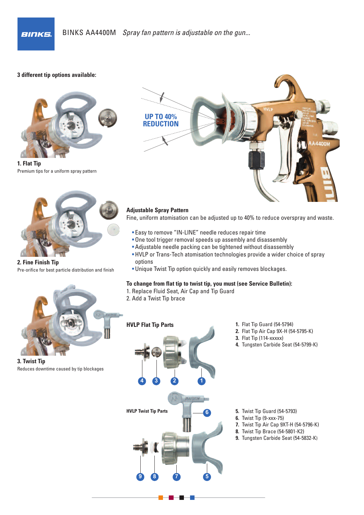#### **3 different tip options available:**



**1. Flat Tip** Premium tips for a uniform spray pattern





**2. Fine Finish Tip** Pre-orifice for best particle distribution and finish



**3. Twist Tip** Reduces downtime caused by tip blockages

## **Adjustable Spray Pattern**

Fine, uniform atomisation can be adjusted up to 40% to reduce overspray and waste.

- Easy to remove "IN-LINE" needle reduces repair time
- One tool trigger removal speeds up assembly and disassembly
- Adjustable needle packing can be tightened without disassembly
- HVLP or Trans-Tech atomisation technologies provide a wider choice of spray options
- Unique Twist Tip option quickly and easily removes blockages.

#### **To change from flat tip to twist tip, you must (see Service Bulletin):**

**6**

1. Replace Fluid Seat, Air Cap and Tip Guard

**4 3 2 1**

**9 8 7 5**

2. Add a Twist Tip brace

# **HVLP Flat Tip Parts**

**HVLP Twist Tip Parts**

- **1.** Flat Tip Guard (54-5794)
- **2.** Flat Tip Air Cap 9X-H (54-5795-K)
- **3.** Flat Tip (114-xxxxx)
- **4.** Tungsten Carbide Seat (54-5799-K)

**5.** Twist Tip Guard (54-5793)

- **6.** Twist Tip (9-xxx-75)
- **7.** Twist Tip Air Cap 9XT-H (54-5796-K)
- **8.** Twist Tip Brace (54-5801-K2)
- **9.** Tungsten Carbide Seat (54-5832-K)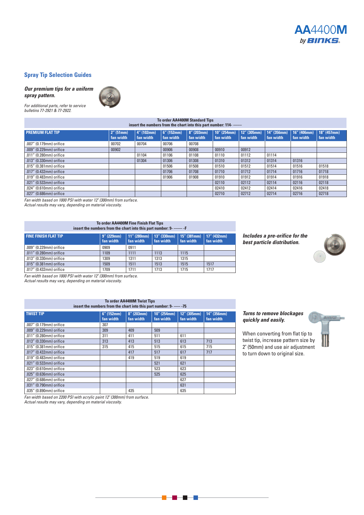## **Spray Tip Selection Guides**

*Our premium tips for a uniform spray pattern.*



*For additional parts, refer to service bulletins 77-2921 & 77-2922.*

| <b>To order AA4400M Standard Tips</b><br>insert the numbers from the chart into this part number: 114- |                           |                         |                            |                         |                             |                          |                          |                          |                          |
|--------------------------------------------------------------------------------------------------------|---------------------------|-------------------------|----------------------------|-------------------------|-----------------------------|--------------------------|--------------------------|--------------------------|--------------------------|
| <b>PREMIUM FLAT TIP</b>                                                                                | $2''$ (51mm)<br>fan width | 4" (102mm)<br>fan width | $6''$ (152mm)<br>fan width | 8" (203mm)<br>fan width | $10''$ (254mm)<br>fan width | 12" (305mm)<br>fan width | 14" (356mm)<br>fan width | 16" (406mm)<br>fan width | 18" (457mm)<br>fan width |
| .007" (0.179mm) orifice                                                                                | 00702                     | 00704                   | 00706                      | 00708                   |                             |                          |                          |                          |                          |
| .009" (0.229mm) orifice                                                                                | 00902                     |                         | 00906                      | 00908                   | 00910                       | 00912                    |                          |                          |                          |
| .011" (0.280mm) orifice                                                                                |                           | 01104                   | 01106                      | 01108                   | 01110                       | 01112                    | 01114                    |                          |                          |
| .013" (0.330mm) orifice                                                                                |                           | 01304                   | 01306                      | 01308                   | 01310                       | 01312                    | 01314                    | 01316                    |                          |
| .015" (0.381mm) orifice                                                                                |                           |                         | 01506                      | 01508                   | 01510                       | 01512                    | 01514                    | 01516                    | 01518                    |
| .017" (0.432mm) orifice                                                                                |                           |                         | 01706                      | 01708                   | 01710                       | 01712                    | 01714                    | 01716                    | 01718                    |
| .019" (0.483mm) orifice                                                                                |                           |                         | 01906                      | 01908                   | 01910                       | 01912                    | 01914                    | 01916                    | 01918                    |
| .021" (0.533mm) orifice                                                                                |                           |                         |                            |                         | 02110                       | 02112                    | 02114                    | 02116                    | 02118                    |
| .024" (0.610mm) orifice                                                                                |                           |                         |                            |                         | 02410                       | 02412                    | 02414                    | 02416                    | 02418                    |
| .027" (0.686mm) orifice                                                                                |                           |                         |                            |                         | 02710                       | 02712                    | 02714                    | 02716                    | 02718                    |

*Fan width based on 1000 PSI with water 12" (300mm) from surface.*

*Actual results may vary, depending on material viscosity.*

#### **To order AA4400M Fine Finish Flat Tips insert the numbers from the chart into this part number: 9- –––– -F**

| <u>moon alo hambolo hom alo onan mio allo pan hambol. o</u> |                            |                           |                             |                            |                          |  |  |
|-------------------------------------------------------------|----------------------------|---------------------------|-----------------------------|----------------------------|--------------------------|--|--|
| <b>FINE FINISH FLAT TIP</b>                                 | $9''$ (229mm)<br>fan width | 11'' (280mm)<br>fan width | $13''$ (330mm)<br>fan width | $15"$ (381mm)<br>fan width | 17" (432mm)<br>fan width |  |  |
| .009" (0.229mm) orifice                                     | 0909                       | 0911                      |                             |                            |                          |  |  |
| .011" (0.280mm) orifice                                     | 1109                       | 1111                      | 1113                        | 1115                       |                          |  |  |
| .013" (0.330mm) orifice                                     | 1309                       | 1311                      | 1313                        | 1315                       |                          |  |  |
| .015" (0.381mm) orifice                                     | 1509                       | 1511                      | 1513                        | 1515                       | 1517                     |  |  |
| .017" (0.432mm) orifice                                     | 1709                       | 1711                      | 1713                        | 1715                       | 1717                     |  |  |

*Includes a pre-orifice for the best particle distribution.*



*Fan width based on 1000 PSI with water 12" (300mm) from surface.*

*Actual results may vary, depending on material viscosity.*

#### **To order AA4400M Twist Tips insert the numbers from the chart into this part number: 9- ––– -75**

| <b>TWIST TIP</b>        | 6" (152mm)<br>fan width | 8" (203mm)<br>fan width | $10''$ (254mm)<br>fan width | 12" (305mm)<br>fan width | 14" (356mm)<br>fan width |
|-------------------------|-------------------------|-------------------------|-----------------------------|--------------------------|--------------------------|
| .007" (0.179mm) orifice | 307                     |                         |                             |                          |                          |
| .009" (0.229mm) orifice | 309                     | 409                     | 509                         |                          |                          |
| .011" (0.280mm) orifice | 311                     | 411                     | 511                         | 611                      |                          |
| .013" (0.330mm) orifice | 313                     | 413                     | 513                         | 613                      | 713                      |
| .015" (0.381mm) orifice | 315                     | 415                     | 515                         | 615                      | 715                      |
| .017" (0.432mm) orifice |                         | 417                     | 517                         | 617                      | 717                      |
| .019" (0.483mm) orifice |                         | 419                     | 519                         | 619                      |                          |
| .021" (0.533mm) orifice |                         |                         | 521                         | 621                      |                          |
| .023" (0.610mm) orifice |                         |                         | 523                         | 623                      |                          |
| .025" (0.636mm) orifice |                         |                         | 525                         | 625                      |                          |
| .027" (0.686mm) orifice |                         |                         |                             | 627                      |                          |
| .031" (0.790mm) orifice |                         |                         |                             | 631                      |                          |
| .035" (0.890mm) orifice |                         | 435                     |                             | 635                      |                          |

#### *Turns to remove blockages quickly and easily.*

When converting from flat tip to twist tip, increase pattern size by 2" (50mm) and use air adjustment to turn down to original size.



*Fan width based on 2200 PSI with acrylic paint 12" (300mm) from surface.*

*Actual results may vary, depending on material viscosity.*